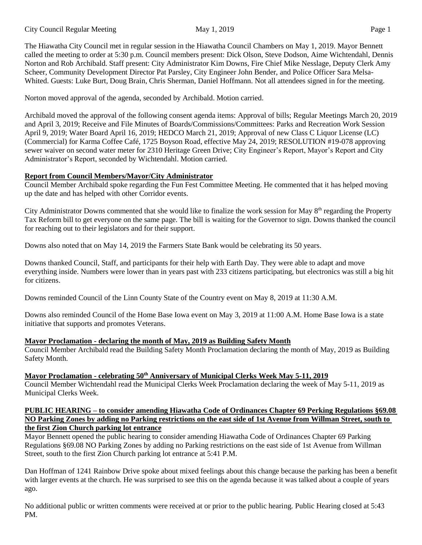City Council Regular Meeting May 1, 2019 May 1, 2019

The Hiawatha City Council met in regular session in the Hiawatha Council Chambers on May 1, 2019. Mayor Bennett called the meeting to order at 5:30 p.m. Council members present: Dick Olson, Steve Dodson, Aime Wichtendahl, Dennis Norton and Rob Archibald. Staff present: City Administrator Kim Downs, Fire Chief Mike Nesslage, Deputy Clerk Amy Scheer, Community Development Director Pat Parsley, City Engineer John Bender, and Police Officer Sara Melsa-Whited. Guests: Luke Burt, Doug Brain, Chris Sherman, Daniel Hoffmann. Not all attendees signed in for the meeting.

Norton moved approval of the agenda, seconded by Archibald. Motion carried.

Archibald moved the approval of the following consent agenda items: Approval of bills; Regular Meetings March 20, 2019 and April 3, 2019; Receive and File Minutes of Boards/Commissions/Committees: Parks and Recreation Work Session April 9, 2019; Water Board April 16, 2019; HEDCO March 21, 2019; Approval of new Class C Liquor License (LC) (Commercial) for Karma Coffee Café, 1725 Boyson Road, effective May 24, 2019; RESOLUTION #19-078 approving sewer waiver on second water meter for 2310 Heritage Green Drive; City Engineer's Report, Mayor's Report and City Administrator's Report, seconded by Wichtendahl. Motion carried.

## **Report from Council Members/Mayor/City Administrator**

Council Member Archibald spoke regarding the Fun Fest Committee Meeting. He commented that it has helped moving up the date and has helped with other Corridor events.

City Administrator Downs commented that she would like to finalize the work session for May  $8<sup>th</sup>$  regarding the Property Tax Reform bill to get everyone on the same page. The bill is waiting for the Governor to sign. Downs thanked the council for reaching out to their legislators and for their support.

Downs also noted that on May 14, 2019 the Farmers State Bank would be celebrating its 50 years.

Downs thanked Council, Staff, and participants for their help with Earth Day. They were able to adapt and move everything inside. Numbers were lower than in years past with 233 citizens participating, but electronics was still a big hit for citizens.

Downs reminded Council of the Linn County State of the Country event on May 8, 2019 at 11:30 A.M.

Downs also reminded Council of the Home Base Iowa event on May 3, 2019 at 11:00 A.M. Home Base Iowa is a state initiative that supports and promotes Veterans.

# **Mayor Proclamation - declaring the month of May, 2019 as Building Safety Month**

Council Member Archibald read the Building Safety Month Proclamation declaring the month of May, 2019 as Building Safety Month.

# **Mayor Proclamation - celebrating 50th Anniversary of Municipal Clerks Week May 5-11, 2019**

Council Member Wichtendahl read the Municipal Clerks Week Proclamation declaring the week of May 5-11, 2019 as Municipal Clerks Week.

#### **PUBLIC HEARING – to consider amending Hiawatha Code of Ordinances Chapter 69 Perking Regulations §69.08 NO Parking Zones by adding no Parking restrictions on the east side of 1st Avenue from Willman Street, south to the first Zion Church parking lot entrance**

Mayor Bennett opened the public hearing to consider amending Hiawatha Code of Ordinances Chapter 69 Parking Regulations §69.08 NO Parking Zones by adding no Parking restrictions on the east side of 1st Avenue from Willman Street, south to the first Zion Church parking lot entrance at 5:41 P.M.

Dan Hoffman of 1241 Rainbow Drive spoke about mixed feelings about this change because the parking has been a benefit with larger events at the church. He was surprised to see this on the agenda because it was talked about a couple of years ago.

No additional public or written comments were received at or prior to the public hearing. Public Hearing closed at 5:43 PM.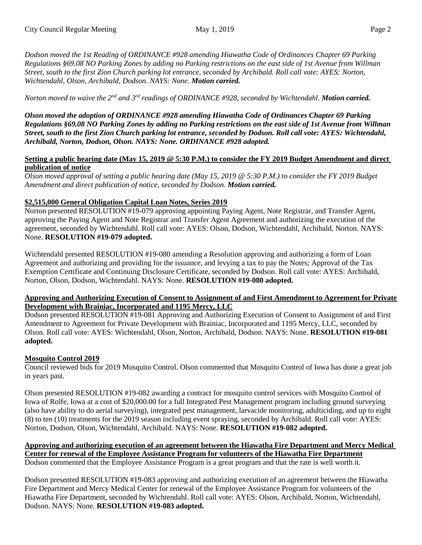*Dodson moved the 1st Reading of ORDINANCE #928 amending Hiawatha Code of Ordinances Chapter 69 Parking Regulations §69.08 NO Parking Zones by adding no Parking restrictions on the east side of 1st Avenue from Willman Street, south to the first Zion Church parking lot entrance, seconded by Archibald. Roll call vote: AYES: Norton, Wichtendahl, Olson, Archibald, Dodson. NAYS: None. Motion carried.*

*Norton moved to waive the 2nd and 3 rd readings of ORDINANCE #928, seconded by Wichtendahl. Motion carried.*

*Olson moved the adoption of ORDINANCE #928 amending Hiawatha Code of Ordinances Chapter 69 Parking Regulations §69.08 NO Parking Zones by adding no Parking restrictions on the east side of 1st Avenue from Willman Street, south to the first Zion Church parking lot entrance, seconded by Dodson. Roll call vote: AYES: Wichtendahl, Archibald, Norton, Dodson, Olson. NAYS: None. ORDINANCE #928 adopted.*

### **Setting a public hearing date (May 15, 2019 @ 5:30 P.M.) to consider the FY 2019 Budget Amendment and direct publication of notice**

*Olson moved approval of setting a public hearing date (May 15, 2019 @ 5:30 P.M.) to consider the FY 2019 Budget Amendment and direct publication of notice, seconded by Dodson. Motion carried.*

## **\$2,515,000 General Obligation Capital Loan Notes, Series 2019**

Norton presented RESOLUTION #19-079 approving appointing Paying Agent, Note Registrar, and Transfer Agent, approving the Paying Agent and Note Registrar and Transfer Agent Agreement and authorizing the execution of the agreement, seconded by Wichtendahl. Roll call vote: AYES: Olson, Dodson, Wichtendahl, Archibald, Norton. NAYS: None. **RESOLUTION #19-079 adopted.**

Wichtendahl presented RESOLUTION #19-080 amending a Resolution approving and authorizing a form of Loan Agreement and authorizing and providing for the issuance, and levying a tax to pay the Notes; Approval of the Tax Exemption Certificate and Continuing Disclosure Certificate, seconded by Dodson. Roll call vote: AYES: Archibald, Norton, Olson, Dodson, Wichtendahl. NAYS: None. **RESOLUTION #19-080 adopted.**

#### **Approving and Authorizing Execution of Consent to Assignment of and First Amendment to Agreement for Private Development with Brainiac, Incorporated and 1195 Mercy, LLC**

Dodson presented RESOLUTION #19-081 Approving and Authorizing Execution of Consent to Assignment of and First Amendment to Agreement for Private Development with Brainiac, Incorporated and 1195 Mercy, LLC, seconded by Olson. Roll call vote: AYES: Wichtendahl, Olson, Norton, Archibald, Dodson. NAYS: None. **RESOLUTION #19-081 adopted.** 

# **Mosquito Control 2019**

Council reviewed bids for 2019 Mosquito Control. Olson commented that Mosquito Control of Iowa has done a great job in years past.

Olson presented RESOLUTION #19-082 awarding a contract for mosquito control services with Mosquito Control of Iowa of Rolfe, Iowa at a cost of \$20,000.00 for a full Integrated Pest Management program including ground surveying (also have ability to do aerial surveying), integrated pest management, larvacide monitoring, adulticiding, and up to eight (8) to ten (10) treatments for the 2019 season including event spraying, seconded by Archibald. Roll call vote: AYES: Norton, Dodson, Olson, Wichtendahl, Archibald. NAYS: None. **RESOLUTION #19-082 adopted.**

**Approving and authorizing execution of an agreement between the Hiawatha Fire Department and Mercy Medical Center for renewal of the Employee Assistance Program for volunteers of the Hiawatha Fire Department** Dodson commented that the Employee Assistance Program is a great program and that the rate is well worth it.

Dodson presented RESOLUTION #19-083 approving and authorizing execution of an agreement between the Hiawatha Fire Department and Mercy Medical Center for renewal of the Employee Assistance Program for volunteers of the Hiawatha Fire Department, seconded by Wichtendahl. Roll call vote: AYES: Olson, Archibald, Norton, Wichtendahl, Dodson. NAYS: None. **RESOLUTION #19-083 adopted.**